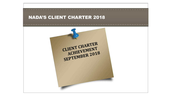# NADA'S CLIENT CHARTER 2018

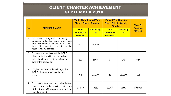| No.              | <b>PROMISES MADE</b>                                                                                                                                                                         | <b>Within The Allocated Time /</b><br><b>Client's Charter Standard</b> |                                    | <b>Exceed The Allocated</b><br><b>Time / Client's Charter</b><br><b>Standard</b> |                             | <b>Total Of</b><br><b>Services</b> |
|------------------|----------------------------------------------------------------------------------------------------------------------------------------------------------------------------------------------|------------------------------------------------------------------------|------------------------------------|----------------------------------------------------------------------------------|-----------------------------|------------------------------------|
|                  |                                                                                                                                                                                              | <b>Total</b><br>(Number Of<br><b>Services)</b>                         | <b>Percentage</b><br>$\frac{9}{6}$ | <b>Total</b><br>(Number Of<br><b>Services)</b>                                   | Percentage<br>$\frac{9}{6}$ | <b>Offered</b>                     |
| 1.               | programs comprising<br>To<br>0f<br>ensure<br>prevention education, public awareness<br>and volunteerism conducted at least<br>three (3) times in a month in the<br>respective 103 districts; | 750                                                                    | >100%                              |                                                                                  |                             |                                    |
| 2.               | To inform the admission of the CCRC<br>clients to their families in a period not<br>more than fourteen (14) days from the<br>date of the admission;                                          | 327                                                                    | 100%                               | $\mathbf{0}$                                                                     | 0%                          | 327                                |
| 3.               | To give short term skills training to the<br><b>CCRC</b> clients at least once before<br>released                                                                                            | 92                                                                     | 77.97%                             | 26                                                                               | 22.03%                      | 118                                |
| $\overline{4}$ . | To provide treatment and rehabilitation<br>services in accordance with client needs<br>at least one (1) program a month to<br>compliant client.                                              | 24,670                                                                 | 80%                                | 59187                                                                            | 20%                         | 300,857                            |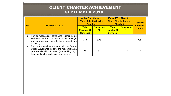| No. | <b>PROMISES MADE</b>                                                                                                                                                                               | <b>Within The Allocated</b><br><b>Time / Client's Charter</b><br><b>Standard</b> |                 | <b>Exceed The Allocated</b><br><b>Time / Client's Charter</b><br><b>Standard</b> |                             | <b>Total Of</b><br><b>Services</b> |
|-----|----------------------------------------------------------------------------------------------------------------------------------------------------------------------------------------------------|----------------------------------------------------------------------------------|-----------------|----------------------------------------------------------------------------------|-----------------------------|------------------------------------|
|     |                                                                                                                                                                                                    | <b>Total</b><br>(Number Of                                                       | Percentage<br>% | <b>Total</b><br>(Number Of                                                       | Percentage<br>$\frac{9}{6}$ | <b>Offered</b>                     |
|     |                                                                                                                                                                                                    | <b>Services)</b>                                                                 |                 | <b>Services)</b>                                                                 |                             |                                    |
| 5.  | Provide feedbacks of complaints regarding drug<br>addictions to the complainant within three (3)<br>working days from the date the complaint was<br>received;                                      | 779                                                                              | 100             |                                                                                  |                             | 779                                |
| 6.  | Provide the result of the application of People<br>Under Surveillance to leave the residential area<br>permanently within fourteen (14) working days<br>from the date the application was received | 15                                                                               | 87              | $\mathbf{2}$                                                                     | 13                          | 15                                 |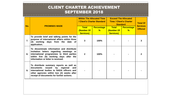| No. | <b>PROMISES MADE</b>                                                                                                                                                                                                      | <b>Within The Allocated Time</b>               | / Client's Charter Standard        | <b>Exceed The Allocated</b><br><b>Time / Client's Charter</b><br><b>Standard</b> |                                    | <b>Total Of</b>                   |
|-----|---------------------------------------------------------------------------------------------------------------------------------------------------------------------------------------------------------------------------|------------------------------------------------|------------------------------------|----------------------------------------------------------------------------------|------------------------------------|-----------------------------------|
|     |                                                                                                                                                                                                                           | <b>Total</b><br>(Number Of<br><b>Services)</b> | <b>Percentage</b><br>$\frac{9}{6}$ | <b>Total</b><br>(Number Of<br><b>Services)</b>                                   | <b>Percentage</b><br>$\frac{9}{6}$ | <b>Services</b><br><b>Offered</b> |
| 7.  | To provide brief and talking points for the<br>purpose of international affairs within three<br>(3) working days from the date of<br>application.                                                                         | 3                                              | 100%                               |                                                                                  |                                    | 3                                 |
| 8.  | To disseminate information and distribute<br>invitation letters regarding meetings or<br>international programmes to third parties<br>within five (5) working days after the<br>information or letter is received.        | $\mathbf{2}$                                   | 100%                               |                                                                                  |                                    | 2                                 |
| 9.  | To distribute summary reports as well as<br>issued by regional<br>documents<br>and<br>international bodies to NADA officers and<br>other agencies within two (2) weeks after<br>receipt of documents for further actions. |                                                |                                    |                                                                                  |                                    |                                   |